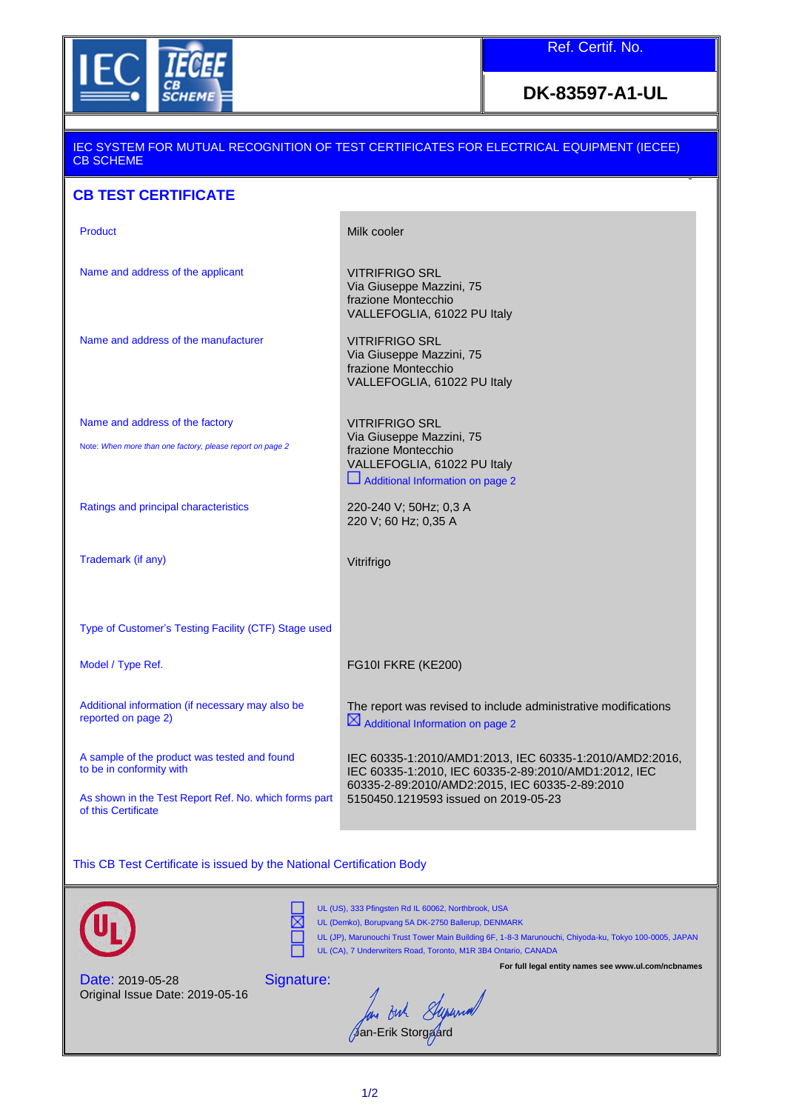

## **DK-83597-A1-UL**

## IEC SYSTEM FOR MUTUAL RECOGNITION OF TEST CERTIFICATES FOR ELECTRICAL EQUIPMENT (IECEE) CB SCHEME **CB TEST CERTIFICATE**  Product Milk cooler Name and address of the applicant VITRIFRIGO SRL Via Giuseppe Mazzini, 75 frazione Montecchio VALLEFOGLIA, 61022 PU Italy Name and address of the manufacturer VITRIFRIGO SRL Via Giuseppe Mazzini, 75 frazione Montecchio VALLEFOGLIA, 61022 PU Italy Name and address of the factory Note: *When more than one factory, please report on page 2* VITRIFRIGO SRL Via Giuseppe Mazzini, 75 frazione Montecchio VALLEFOGLIA, 61022 PU Italy Additional Information on page 2 Ratings and principal characteristics Trademark (if any) 220-240 V; 50Hz; 0,3 A 220 V; 60 Hz; 0,35 A Vitrifrigo Type of Customer's Testing Facility (CTF) Stage used Model / Type Ref. The Model of Type Ref. The Model of Type Ref. The Model of Type Ref. (KE200) Additional information (if necessary may also be reported on page 2) The report was revised to include administrative modifications  $\boxtimes$  Additional Information on page 2 A sample of the product was tested and found to be in conformity with IEC 60335-1:2010/AMD1:2013, IEC 60335-1:2010/AMD2:2016, IEC 60335-1:2010, IEC 60335-2-89:2010/AMD1:2012, IEC 60335-2-89:2010/AMD2:2015, IEC 60335-2-89:2010 As shown in the Test Report Ref. No. which forms part of this Certificate 5150450.1219593 issued on 2019-05-23

This CB Test Certificate is issued by the National Certification Body





UL (US), 333 Pfingsten Rd IL 60062, Northbrook, USA

UL (Demko), Borupvang 5A DK-2750 Ballerup, DENMARK UL (JP), Marunouchi Trust Tower Main Building 6F, 1-8-3 Marunouchi, Chiyoda-ku, Tokyo 100-0005, JAPAN UL (CA), 7 Underwriters Road, Toronto, M1R 3B4 Ontario, CANADA

Date: 2019-05-28 Original Issue Date: 2019-05-16 Signature:

**For full legal entity names see www.ul.com/ncbnames**

But Superiod Jan-Erik Storgaard